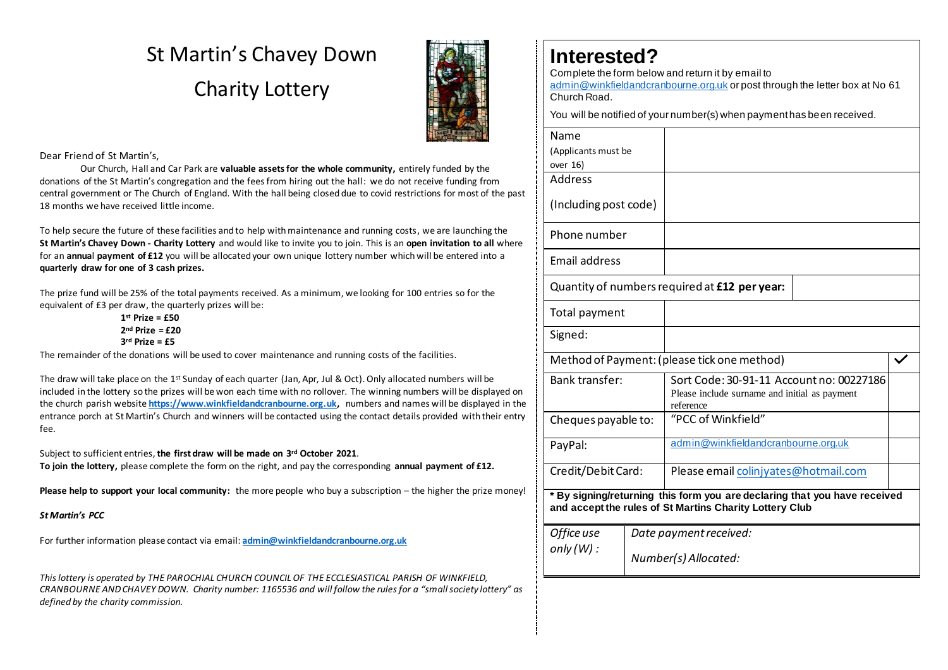# St Martin's Chavey Down Charity Lottery



## Dear Friend of St Martin's,

Our Church, Hall and Car Park are **valuable assets for the whole community,** entirely funded by the donations of the St Martin's congregation and the fees from hiring out the hall: we do not receive funding from central government or The Church of England. With the hall being closed due to covid restrictions for most of the past 18 months we have received little income.

To help secure the future of these facilities and to help with maintenance and running costs, we are launching the **St Martin's Chavey Down - Charity Lottery** and would like to invite you to join. This is an **open invitation to all** where for an **annua**l **payment of £12** you will be allocated your own unique lottery number which will be entered into a **quarterly draw for one of 3 cash prizes.**

The prize fund will be 25% of the total payments received. As a minimum, we looking for 100 entries so for the equivalent of £3 per draw, the quarterly prizes will be:

> **1st Prize = £50 2nd Prize = £20 3rd Prize = £5**

The remainder of the donations will be used to cover maintenance and running costs of the facilities.

The draw will take place on the 1<sup>st</sup> Sunday of each quarter (Jan, Apr, Jul & Oct). Only allocated numbers will be included in the lottery so the prizes will be won each time with no rollover. The winning numbers will be displayed on the church parish website **[https://www.winkfieldandcranbourne.org.uk,](https://www.winkfieldandcranbourne.org.uk/)** numbers and names will be displayed in the entrance porch at St Martin's Church and winners will be contacted using the contact details provided with their entry fee.

Subject to sufficient entries,**the first draw will be made on 3rd October 2021**.

**To join the lottery,** please complete the form on the right, and pay the corresponding **annual payment of £12.**

**Please help to support your local community:** the more people who buy a subscription – the higher the prize money!

*St Martin's PCC*

For further information please contact via email: **[admin@winkfieldandcranbourne.org.uk](mailto:admin@winkfieldandcranbourne.org.uk)**

*This lottery is operated by THE PAROCHIAL CHURCH COUNCIL OF THE ECCLESIASTICAL PARISH OF WINKFIELD, CRANBOURNE AND CHAVEY DOWN. Charity number: 1165536 and will follow the rules for a "small society lottery" as defined by the charity commission.*

## **Interested?**

Complete the form below and return it by email to

[admin@winkfieldandcranbourne.org.uk](mailto:admin@winkfieldandcranbourne.org.uk) or post through the letter box at No 61 Church Road.

You will be notified of your number(s) when payment has been received.

| Name                                                                                                                                 |                        |                                                                                                        |  |
|--------------------------------------------------------------------------------------------------------------------------------------|------------------------|--------------------------------------------------------------------------------------------------------|--|
| (Applicants must be                                                                                                                  |                        |                                                                                                        |  |
| over 16)                                                                                                                             |                        |                                                                                                        |  |
| <b>Address</b>                                                                                                                       |                        |                                                                                                        |  |
| (Including post code)                                                                                                                |                        |                                                                                                        |  |
| Phone number                                                                                                                         |                        |                                                                                                        |  |
| Email address                                                                                                                        |                        |                                                                                                        |  |
| Quantity of numbers required at £12 per year:                                                                                        |                        |                                                                                                        |  |
| Total payment                                                                                                                        |                        |                                                                                                        |  |
| Signed:                                                                                                                              |                        |                                                                                                        |  |
| Method of Payment: (please tick one method)                                                                                          |                        |                                                                                                        |  |
| Bank transfer:                                                                                                                       |                        | Sort Code: 30-91-11 Account no: 00227186<br>Please include surname and initial as payment<br>reference |  |
| Cheques payable to:                                                                                                                  |                        | "PCC of Winkfield"                                                                                     |  |
| PayPal:                                                                                                                              |                        | admin@winkfieldandcranbourne.org.uk                                                                    |  |
| Credit/Debit Card:                                                                                                                   |                        | Please email colinjyates@hotmail.com                                                                   |  |
| * By signing/returning this form you are declaring that you have received<br>and accept the rules of St Martins Charity Lottery Club |                        |                                                                                                        |  |
| Office use                                                                                                                           | Date payment received: |                                                                                                        |  |
| only(W):                                                                                                                             |                        | Number(s) Allocated:                                                                                   |  |